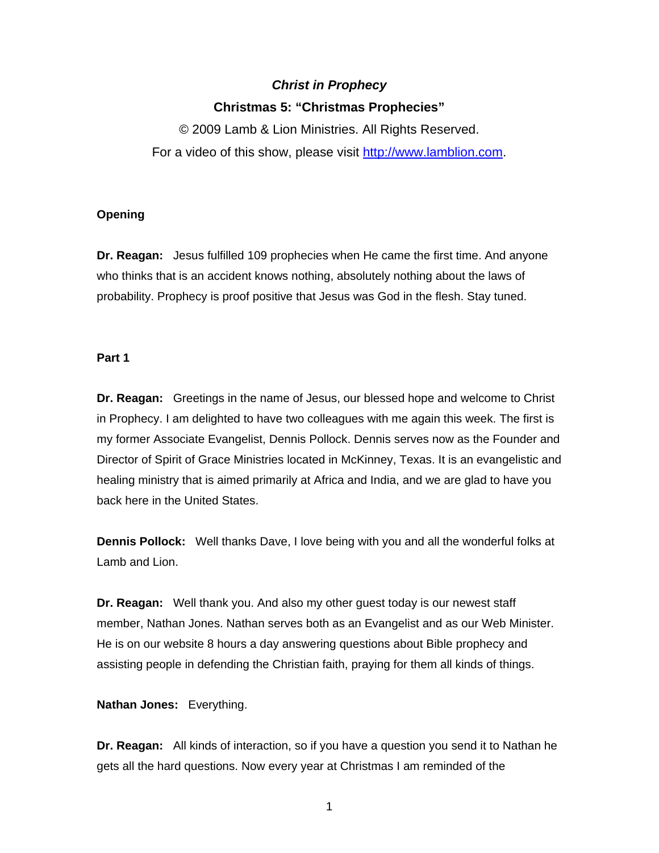# *Christ in Prophecy*  **Christmas 5: "Christmas Prophecies"**

© 2009 Lamb & Lion Ministries. All Rights Reserved. For a video of this show, please visit [http://www.lamblion.com](http://www.lamblion.com/).

## **Opening**

**Dr. Reagan:** Jesus fulfilled 109 prophecies when He came the first time. And anyone who thinks that is an accident knows nothing, absolutely nothing about the laws of probability. Prophecy is proof positive that Jesus was God in the flesh. Stay tuned.

# **Part 1**

**Dr. Reagan:** Greetings in the name of Jesus, our blessed hope and welcome to Christ in Prophecy. I am delighted to have two colleagues with me again this week. The first is my former Associate Evangelist, Dennis Pollock. Dennis serves now as the Founder and Director of Spirit of Grace Ministries located in McKinney, Texas. It is an evangelistic and healing ministry that is aimed primarily at Africa and India, and we are glad to have you back here in the United States.

**Dennis Pollock:** Well thanks Dave, I love being with you and all the wonderful folks at Lamb and Lion.

**Dr. Reagan:** Well thank you. And also my other guest today is our newest staff member, Nathan Jones. Nathan serves both as an Evangelist and as our Web Minister. He is on our website 8 hours a day answering questions about Bible prophecy and assisting people in defending the Christian faith, praying for them all kinds of things.

**Nathan Jones:** Everything.

**Dr. Reagan:** All kinds of interaction, so if you have a question you send it to Nathan he gets all the hard questions. Now every year at Christmas I am reminded of the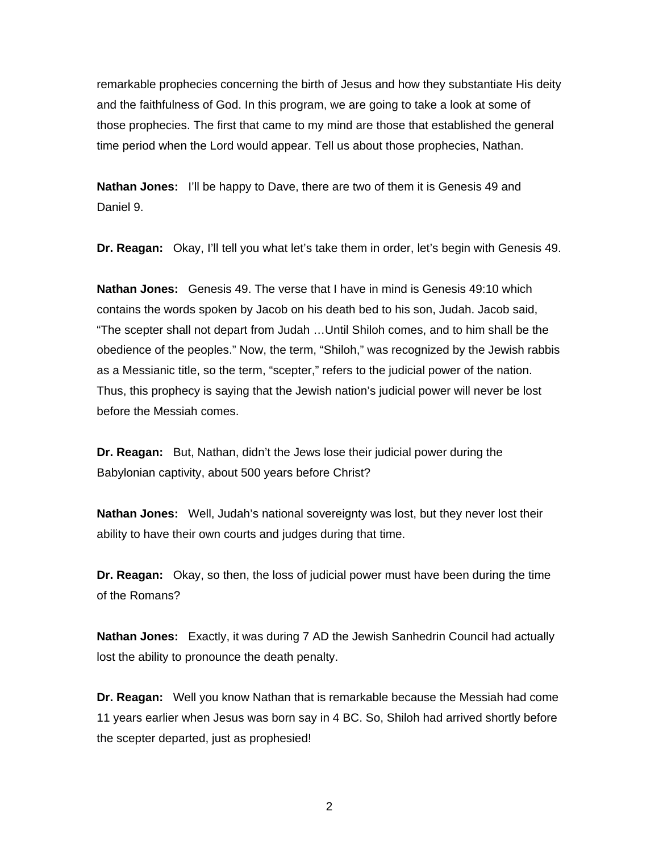remarkable prophecies concerning the birth of Jesus and how they substantiate His deity and the faithfulness of God. In this program, we are going to take a look at some of those prophecies. The first that came to my mind are those that established the general time period when the Lord would appear. Tell us about those prophecies, Nathan.

**Nathan Jones:** I'll be happy to Dave, there are two of them it is Genesis 49 and Daniel 9.

**Dr. Reagan:** Okay, I'll tell you what let's take them in order, let's begin with Genesis 49.

**Nathan Jones:** Genesis 49. The verse that I have in mind is Genesis 49:10 which contains the words spoken by Jacob on his death bed to his son, Judah. Jacob said, "The scepter shall not depart from Judah …Until Shiloh comes, and to him shall be the obedience of the peoples." Now, the term, "Shiloh," was recognized by the Jewish rabbis as a Messianic title, so the term, "scepter," refers to the judicial power of the nation. Thus, this prophecy is saying that the Jewish nation's judicial power will never be lost before the Messiah comes.

**Dr. Reagan:** But, Nathan, didn't the Jews lose their judicial power during the Babylonian captivity, about 500 years before Christ?

**Nathan Jones:** Well, Judah's national sovereignty was lost, but they never lost their ability to have their own courts and judges during that time.

**Dr. Reagan:** Okay, so then, the loss of judicial power must have been during the time of the Romans?

**Nathan Jones:** Exactly, it was during 7 AD the Jewish Sanhedrin Council had actually lost the ability to pronounce the death penalty.

**Dr. Reagan:** Well you know Nathan that is remarkable because the Messiah had come 11 years earlier when Jesus was born say in 4 BC. So, Shiloh had arrived shortly before the scepter departed, just as prophesied!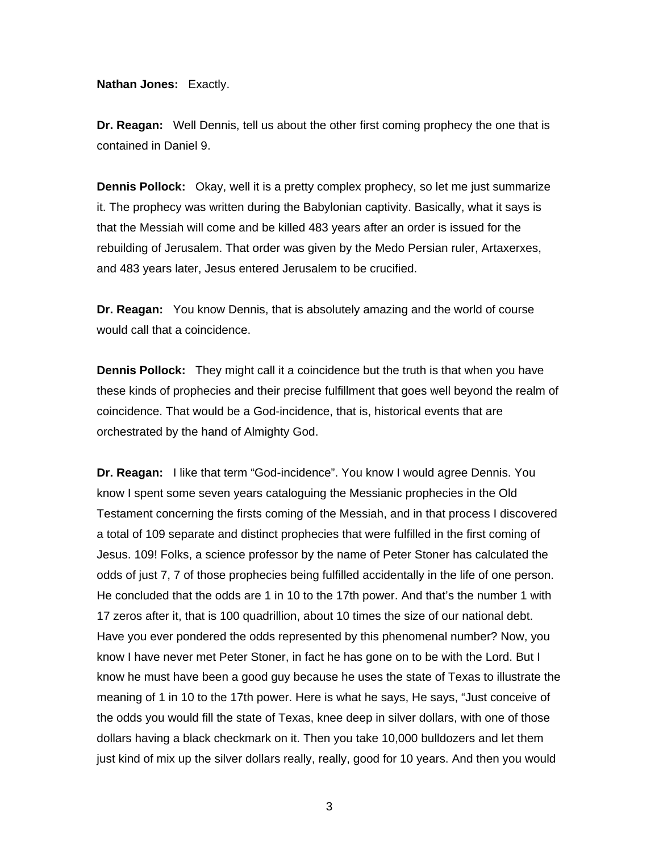**Nathan Jones:** Exactly.

**Dr. Reagan:** Well Dennis, tell us about the other first coming prophecy the one that is contained in Daniel 9.

**Dennis Pollock:** Okay, well it is a pretty complex prophecy, so let me just summarize it. The prophecy was written during the Babylonian captivity. Basically, what it says is that the Messiah will come and be killed 483 years after an order is issued for the rebuilding of Jerusalem. That order was given by the Medo Persian ruler, Artaxerxes, and 483 years later, Jesus entered Jerusalem to be crucified.

**Dr. Reagan:** You know Dennis, that is absolutely amazing and the world of course would call that a coincidence.

**Dennis Pollock:** They might call it a coincidence but the truth is that when you have these kinds of prophecies and their precise fulfillment that goes well beyond the realm of coincidence. That would be a God-incidence, that is, historical events that are orchestrated by the hand of Almighty God.

**Dr. Reagan:** I like that term "God-incidence". You know I would agree Dennis. You know I spent some seven years cataloguing the Messianic prophecies in the Old Testament concerning the firsts coming of the Messiah, and in that process I discovered a total of 109 separate and distinct prophecies that were fulfilled in the first coming of Jesus. 109! Folks, a science professor by the name of Peter Stoner has calculated the odds of just 7, 7 of those prophecies being fulfilled accidentally in the life of one person. He concluded that the odds are 1 in 10 to the 17th power. And that's the number 1 with 17 zeros after it, that is 100 quadrillion, about 10 times the size of our national debt. Have you ever pondered the odds represented by this phenomenal number? Now, you know I have never met Peter Stoner, in fact he has gone on to be with the Lord. But I know he must have been a good guy because he uses the state of Texas to illustrate the meaning of 1 in 10 to the 17th power. Here is what he says, He says, "Just conceive of the odds you would fill the state of Texas, knee deep in silver dollars, with one of those dollars having a black checkmark on it. Then you take 10,000 bulldozers and let them just kind of mix up the silver dollars really, really, good for 10 years. And then you would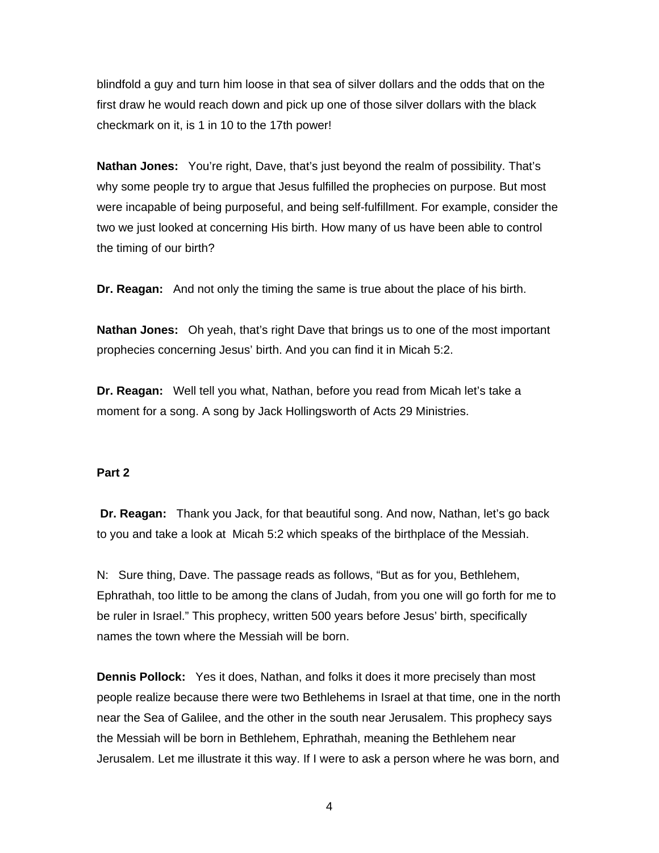blindfold a guy and turn him loose in that sea of silver dollars and the odds that on the first draw he would reach down and pick up one of those silver dollars with the black checkmark on it, is 1 in 10 to the 17th power!

**Nathan Jones:** You're right, Dave, that's just beyond the realm of possibility. That's why some people try to argue that Jesus fulfilled the prophecies on purpose. But most were incapable of being purposeful, and being self-fulfillment. For example, consider the two we just looked at concerning His birth. How many of us have been able to control the timing of our birth?

**Dr. Reagan:** And not only the timing the same is true about the place of his birth.

**Nathan Jones:** Oh yeah, that's right Dave that brings us to one of the most important prophecies concerning Jesus' birth. And you can find it in Micah 5:2.

**Dr. Reagan:** Well tell you what, Nathan, before you read from Micah let's take a moment for a song. A song by Jack Hollingsworth of Acts 29 Ministries.

#### **Part 2**

**Dr. Reagan:** Thank you Jack, for that beautiful song. And now, Nathan, let's go back to you and take a look at Micah 5:2 which speaks of the birthplace of the Messiah.

N: Sure thing, Dave. The passage reads as follows, "But as for you, Bethlehem, Ephrathah, too little to be among the clans of Judah, from you one will go forth for me to be ruler in Israel." This prophecy, written 500 years before Jesus' birth, specifically names the town where the Messiah will be born.

**Dennis Pollock:** Yes it does, Nathan, and folks it does it more precisely than most people realize because there were two Bethlehems in Israel at that time, one in the north near the Sea of Galilee, and the other in the south near Jerusalem. This prophecy says the Messiah will be born in Bethlehem, Ephrathah, meaning the Bethlehem near Jerusalem. Let me illustrate it this way. If I were to ask a person where he was born, and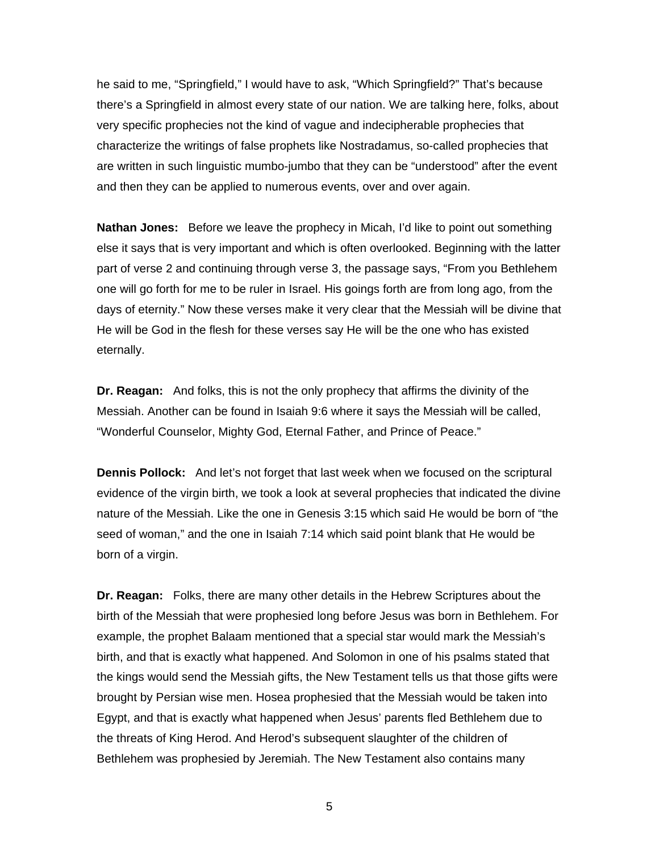he said to me, "Springfield," I would have to ask, "Which Springfield?" That's because there's a Springfield in almost every state of our nation. We are talking here, folks, about very specific prophecies not the kind of vague and indecipherable prophecies that characterize the writings of false prophets like Nostradamus, so-called prophecies that are written in such linguistic mumbo-jumbo that they can be "understood" after the event and then they can be applied to numerous events, over and over again.

**Nathan Jones:** Before we leave the prophecy in Micah, I'd like to point out something else it says that is very important and which is often overlooked. Beginning with the latter part of verse 2 and continuing through verse 3, the passage says, "From you Bethlehem one will go forth for me to be ruler in Israel. His goings forth are from long ago, from the days of eternity." Now these verses make it very clear that the Messiah will be divine that He will be God in the flesh for these verses say He will be the one who has existed eternally.

**Dr. Reagan:** And folks, this is not the only prophecy that affirms the divinity of the Messiah. Another can be found in Isaiah 9:6 where it says the Messiah will be called, "Wonderful Counselor, Mighty God, Eternal Father, and Prince of Peace."

**Dennis Pollock:** And let's not forget that last week when we focused on the scriptural evidence of the virgin birth, we took a look at several prophecies that indicated the divine nature of the Messiah. Like the one in Genesis 3:15 which said He would be born of "the seed of woman," and the one in Isaiah 7:14 which said point blank that He would be born of a virgin.

**Dr. Reagan:** Folks, there are many other details in the Hebrew Scriptures about the birth of the Messiah that were prophesied long before Jesus was born in Bethlehem. For example, the prophet Balaam mentioned that a special star would mark the Messiah's birth, and that is exactly what happened. And Solomon in one of his psalms stated that the kings would send the Messiah gifts, the New Testament tells us that those gifts were brought by Persian wise men. Hosea prophesied that the Messiah would be taken into Egypt, and that is exactly what happened when Jesus' parents fled Bethlehem due to the threats of King Herod. And Herod's subsequent slaughter of the children of Bethlehem was prophesied by Jeremiah. The New Testament also contains many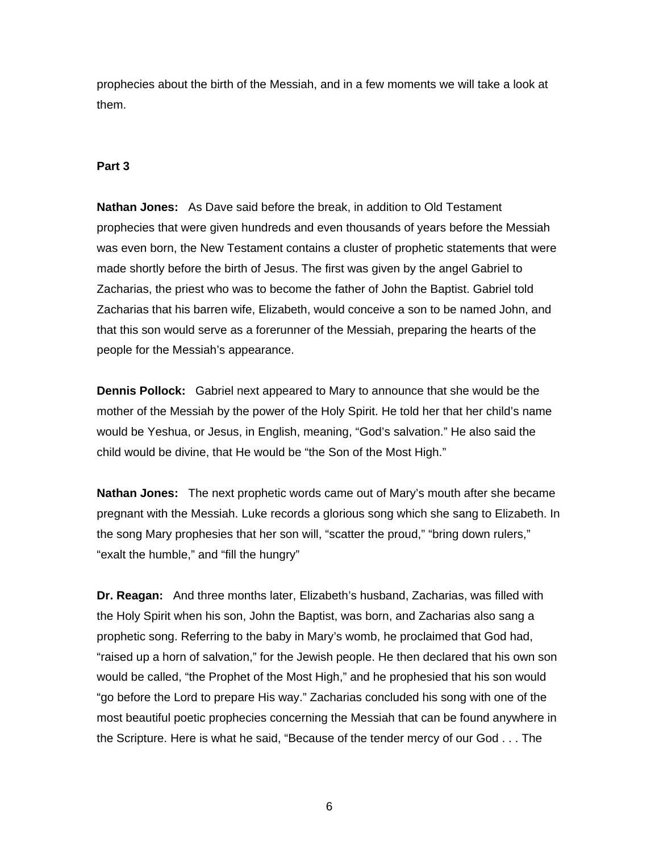prophecies about the birth of the Messiah, and in a few moments we will take a look at them.

# **Part 3**

**Nathan Jones:** As Dave said before the break, in addition to Old Testament prophecies that were given hundreds and even thousands of years before the Messiah was even born, the New Testament contains a cluster of prophetic statements that were made shortly before the birth of Jesus. The first was given by the angel Gabriel to Zacharias, the priest who was to become the father of John the Baptist. Gabriel told Zacharias that his barren wife, Elizabeth, would conceive a son to be named John, and that this son would serve as a forerunner of the Messiah, preparing the hearts of the people for the Messiah's appearance.

**Dennis Pollock:** Gabriel next appeared to Mary to announce that she would be the mother of the Messiah by the power of the Holy Spirit. He told her that her child's name would be Yeshua, or Jesus, in English, meaning, "God's salvation." He also said the child would be divine, that He would be "the Son of the Most High."

**Nathan Jones:** The next prophetic words came out of Mary's mouth after she became pregnant with the Messiah. Luke records a glorious song which she sang to Elizabeth. In the song Mary prophesies that her son will, "scatter the proud," "bring down rulers," "exalt the humble," and "fill the hungry"

**Dr. Reagan:** And three months later, Elizabeth's husband, Zacharias, was filled with the Holy Spirit when his son, John the Baptist, was born, and Zacharias also sang a prophetic song. Referring to the baby in Mary's womb, he proclaimed that God had, "raised up a horn of salvation," for the Jewish people. He then declared that his own son would be called, "the Prophet of the Most High," and he prophesied that his son would "go before the Lord to prepare His way." Zacharias concluded his song with one of the most beautiful poetic prophecies concerning the Messiah that can be found anywhere in the Scripture. Here is what he said, "Because of the tender mercy of our God . . . The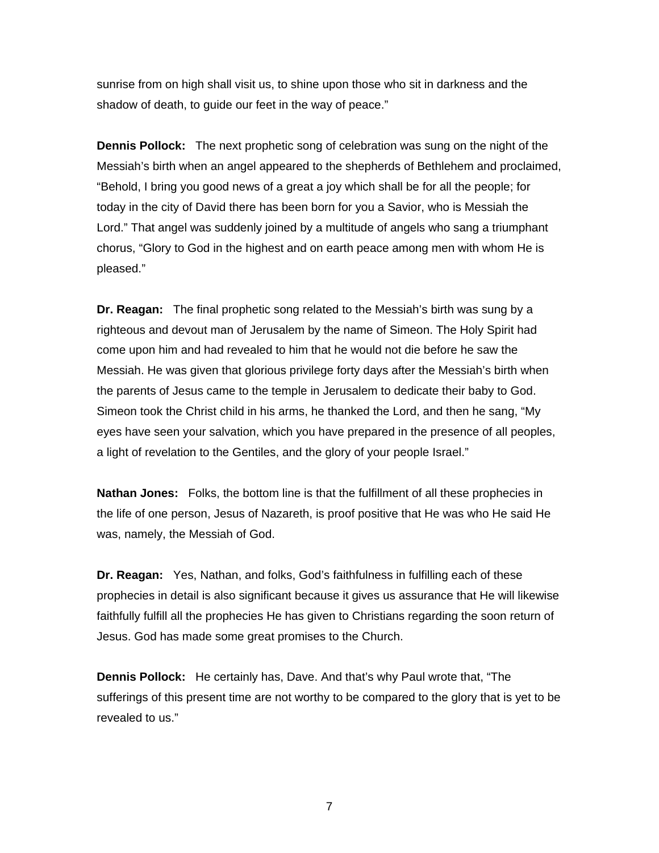sunrise from on high shall visit us, to shine upon those who sit in darkness and the shadow of death, to guide our feet in the way of peace."

**Dennis Pollock:** The next prophetic song of celebration was sung on the night of the Messiah's birth when an angel appeared to the shepherds of Bethlehem and proclaimed, "Behold, I bring you good news of a great a joy which shall be for all the people; for today in the city of David there has been born for you a Savior, who is Messiah the Lord." That angel was suddenly joined by a multitude of angels who sang a triumphant chorus, "Glory to God in the highest and on earth peace among men with whom He is pleased."

**Dr. Reagan:** The final prophetic song related to the Messiah's birth was sung by a righteous and devout man of Jerusalem by the name of Simeon. The Holy Spirit had come upon him and had revealed to him that he would not die before he saw the Messiah. He was given that glorious privilege forty days after the Messiah's birth when the parents of Jesus came to the temple in Jerusalem to dedicate their baby to God. Simeon took the Christ child in his arms, he thanked the Lord, and then he sang, "My eyes have seen your salvation, which you have prepared in the presence of all peoples, a light of revelation to the Gentiles, and the glory of your people Israel."

**Nathan Jones:** Folks, the bottom line is that the fulfillment of all these prophecies in the life of one person, Jesus of Nazareth, is proof positive that He was who He said He was, namely, the Messiah of God.

**Dr. Reagan:** Yes, Nathan, and folks, God's faithfulness in fulfilling each of these prophecies in detail is also significant because it gives us assurance that He will likewise faithfully fulfill all the prophecies He has given to Christians regarding the soon return of Jesus. God has made some great promises to the Church.

**Dennis Pollock:** He certainly has, Dave. And that's why Paul wrote that, "The sufferings of this present time are not worthy to be compared to the glory that is yet to be revealed to us."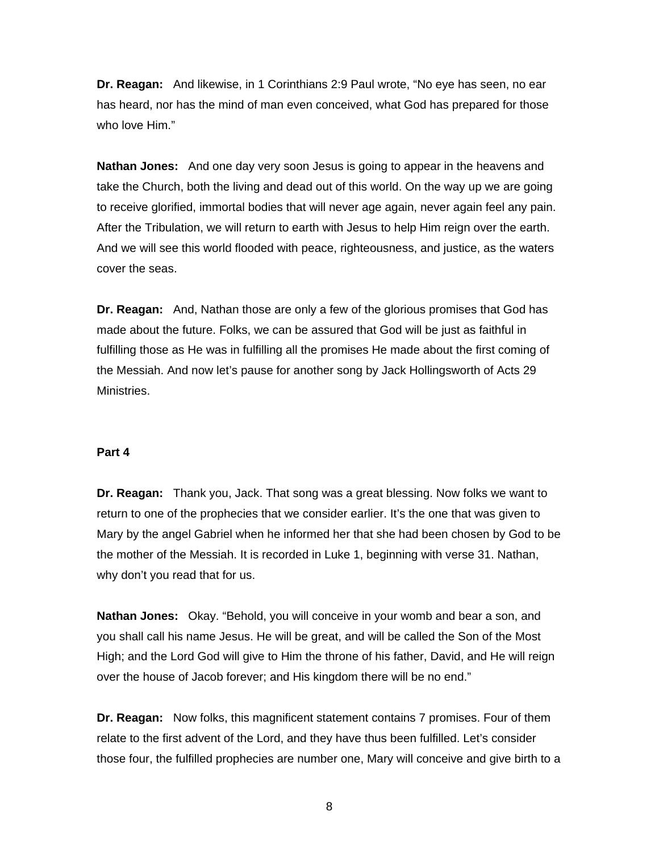**Dr. Reagan:** And likewise, in 1 Corinthians 2:9 Paul wrote, "No eye has seen, no ear has heard, nor has the mind of man even conceived, what God has prepared for those who love Him."

**Nathan Jones:** And one day very soon Jesus is going to appear in the heavens and take the Church, both the living and dead out of this world. On the way up we are going to receive glorified, immortal bodies that will never age again, never again feel any pain. After the Tribulation, we will return to earth with Jesus to help Him reign over the earth. And we will see this world flooded with peace, righteousness, and justice, as the waters cover the seas.

**Dr. Reagan:** And, Nathan those are only a few of the glorious promises that God has made about the future. Folks, we can be assured that God will be just as faithful in fulfilling those as He was in fulfilling all the promises He made about the first coming of the Messiah. And now let's pause for another song by Jack Hollingsworth of Acts 29 Ministries.

## **Part 4**

**Dr. Reagan:** Thank you, Jack. That song was a great blessing. Now folks we want to return to one of the prophecies that we consider earlier. It's the one that was given to Mary by the angel Gabriel when he informed her that she had been chosen by God to be the mother of the Messiah. It is recorded in Luke 1, beginning with verse 31. Nathan, why don't you read that for us.

**Nathan Jones:** Okay. "Behold, you will conceive in your womb and bear a son, and you shall call his name Jesus. He will be great, and will be called the Son of the Most High; and the Lord God will give to Him the throne of his father, David, and He will reign over the house of Jacob forever; and His kingdom there will be no end."

**Dr. Reagan:** Now folks, this magnificent statement contains 7 promises. Four of them relate to the first advent of the Lord, and they have thus been fulfilled. Let's consider those four, the fulfilled prophecies are number one, Mary will conceive and give birth to a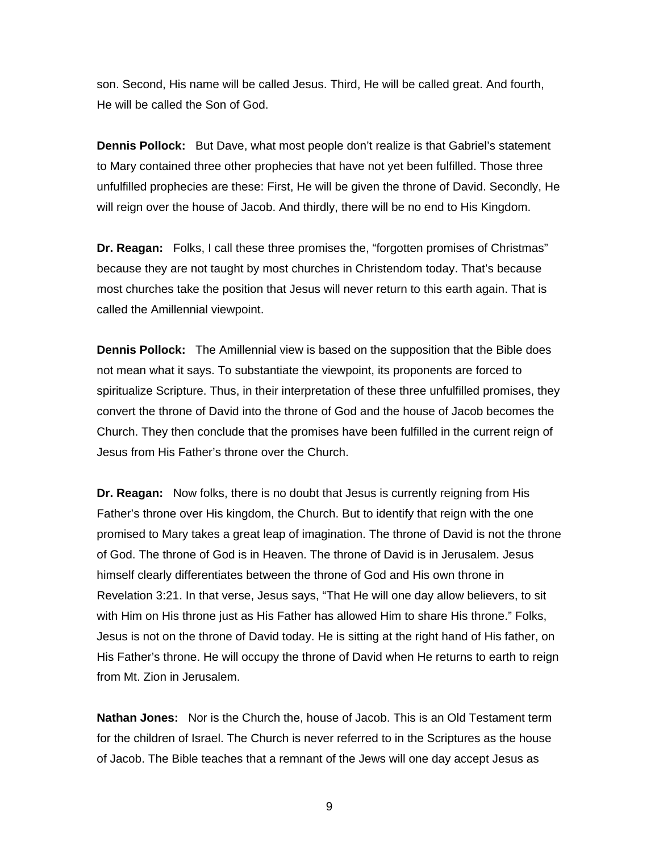son. Second, His name will be called Jesus. Third, He will be called great. And fourth, He will be called the Son of God.

**Dennis Pollock:** But Dave, what most people don't realize is that Gabriel's statement to Mary contained three other prophecies that have not yet been fulfilled. Those three unfulfilled prophecies are these: First, He will be given the throne of David. Secondly, He will reign over the house of Jacob. And thirdly, there will be no end to His Kingdom.

**Dr. Reagan:** Folks, I call these three promises the, "forgotten promises of Christmas" because they are not taught by most churches in Christendom today. That's because most churches take the position that Jesus will never return to this earth again. That is called the Amillennial viewpoint.

**Dennis Pollock:** The Amillennial view is based on the supposition that the Bible does not mean what it says. To substantiate the viewpoint, its proponents are forced to spiritualize Scripture. Thus, in their interpretation of these three unfulfilled promises, they convert the throne of David into the throne of God and the house of Jacob becomes the Church. They then conclude that the promises have been fulfilled in the current reign of Jesus from His Father's throne over the Church.

**Dr. Reagan:** Now folks, there is no doubt that Jesus is currently reigning from His Father's throne over His kingdom, the Church. But to identify that reign with the one promised to Mary takes a great leap of imagination. The throne of David is not the throne of God. The throne of God is in Heaven. The throne of David is in Jerusalem. Jesus himself clearly differentiates between the throne of God and His own throne in Revelation 3:21. In that verse, Jesus says, "That He will one day allow believers, to sit with Him on His throne just as His Father has allowed Him to share His throne." Folks, Jesus is not on the throne of David today. He is sitting at the right hand of His father, on His Father's throne. He will occupy the throne of David when He returns to earth to reign from Mt. Zion in Jerusalem.

**Nathan Jones:** Nor is the Church the, house of Jacob. This is an Old Testament term for the children of Israel. The Church is never referred to in the Scriptures as the house of Jacob. The Bible teaches that a remnant of the Jews will one day accept Jesus as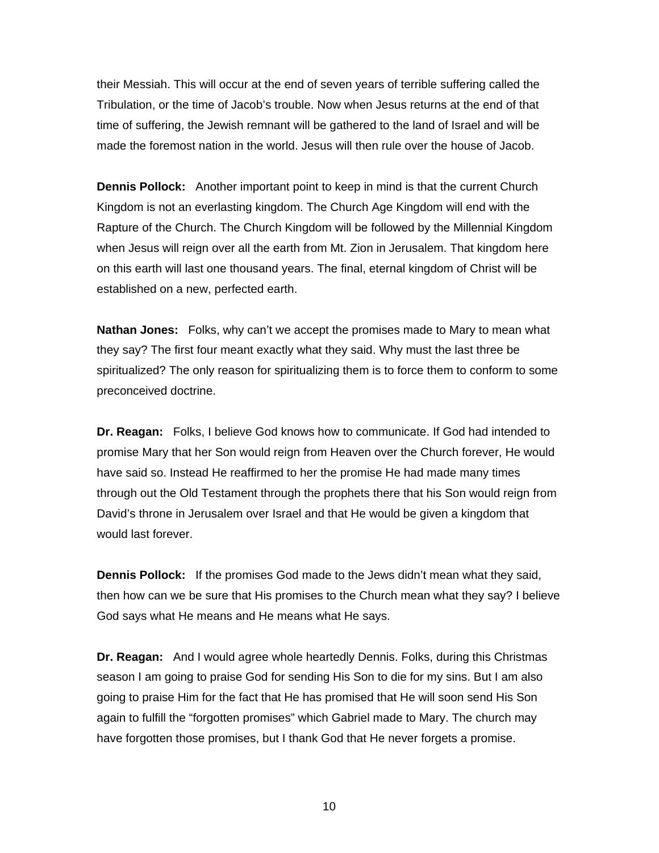their Messiah. This will occur at the end of seven years of terrible suffering called the Tribulation, or the time of Jacob's trouble. Now when Jesus returns at the end of that time of suffering, the Jewish remnant will be gathered to the land of Israel and will be made the foremost nation in the world. Jesus will then rule over the house of Jacob.

**Dennis Pollock:** Another important point to keep in mind is that the current Church Kingdom is not an everlasting kingdom. The Church Age Kingdom will end with the Rapture of the Church. The Church Kingdom will be followed by the Millennial Kingdom when Jesus will reign over all the earth from Mt. Zion in Jerusalem. That kingdom here on this earth will last one thousand years. The final, eternal kingdom of Christ will be established on a new, perfected earth.

**Nathan Jones:** Folks, why can't we accept the promises made to Mary to mean what they say? The first four meant exactly what they said. Why must the last three be spiritualized? The only reason for spiritualizing them is to force them to conform to some preconceived doctrine.

**Dr. Reagan:** Folks, I believe God knows how to communicate. If God had intended to promise Mary that her Son would reign from Heaven over the Church forever, He would have said so. Instead He reaffirmed to her the promise He had made many times through out the Old Testament through the prophets there that his Son would reign from David's throne in Jerusalem over Israel and that He would be given a kingdom that would last forever.

**Dennis Pollock:** If the promises God made to the Jews didn't mean what they said, then how can we be sure that His promises to the Church mean what they say? I believe God says what He means and He means what He says.

**Dr. Reagan:** And I would agree whole heartedly Dennis. Folks, during this Christmas season I am going to praise God for sending His Son to die for my sins. But I am also going to praise Him for the fact that He has promised that He will soon send His Son again to fulfill the "forgotten promises" which Gabriel made to Mary. The church may have forgotten those promises, but I thank God that He never forgets a promise.